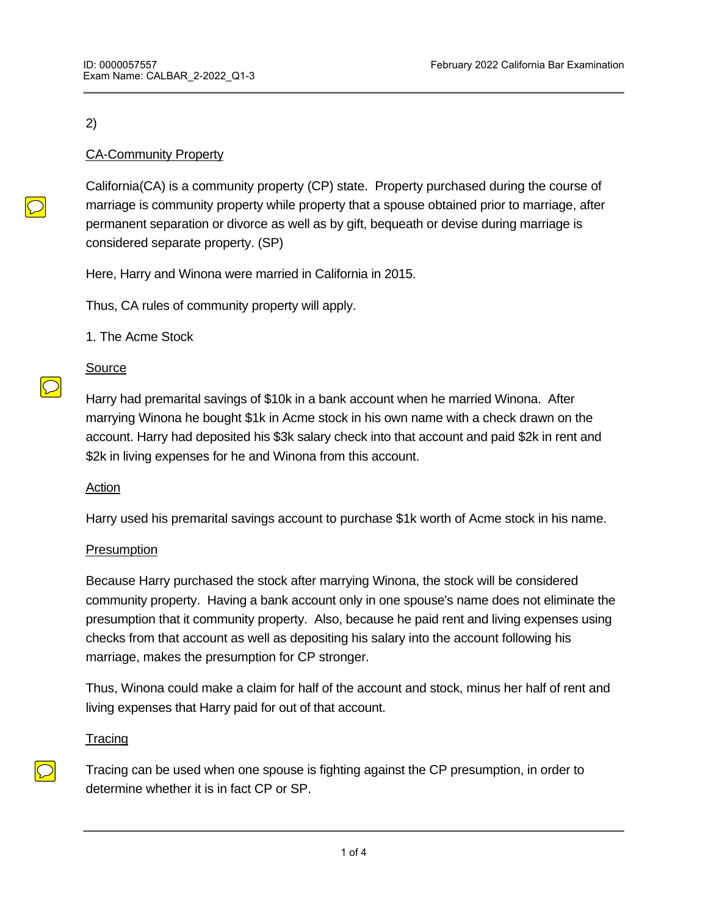## 2)

# CA-Community Property

California(CA) is a community property (CP) state. Property purchased during the course of marriage is community property while property that a spouse obtained prior to marriage, after permanent separation or divorce as well as by gift, bequeath or devise during marriage is considered separate property. (SP)

Here, Harry and Winona were married in California in 2015.

Thus, CA rules of community property will apply.

1. The Acme Stock

# Source

Harry had premarital savings of \$10k in a bank account when he married Winona. After marrying Winona he bought \$1k in Acme stock in his own name with a check drawn on the account. Harry had deposited his \$3k salary check into that account and paid \$2k in rent and \$2k in living expenses for he and Winona from this account.

## Action

Harry used his premarital savings account to purchase \$1k worth of Acme stock in his name.

## **Presumption**

Because Harry purchased the stock after marrying Winona, the stock will be considered community property. Having a bank account only in one spouse's name does not eliminate the presumption that it community property. Also, because he paid rent and living expenses using checks from that account as well as depositing his salary into the account following his marriage, makes the presumption for CP stronger.

Thus, Winona could make a claim for half of the account and stock, minus her half of rent and living expenses that Harry paid for out of that account.

## **Tracing**

Tracing can be used when one spouse is fighting against the CP presumption, in order to determine whether it is in fact CP or SP.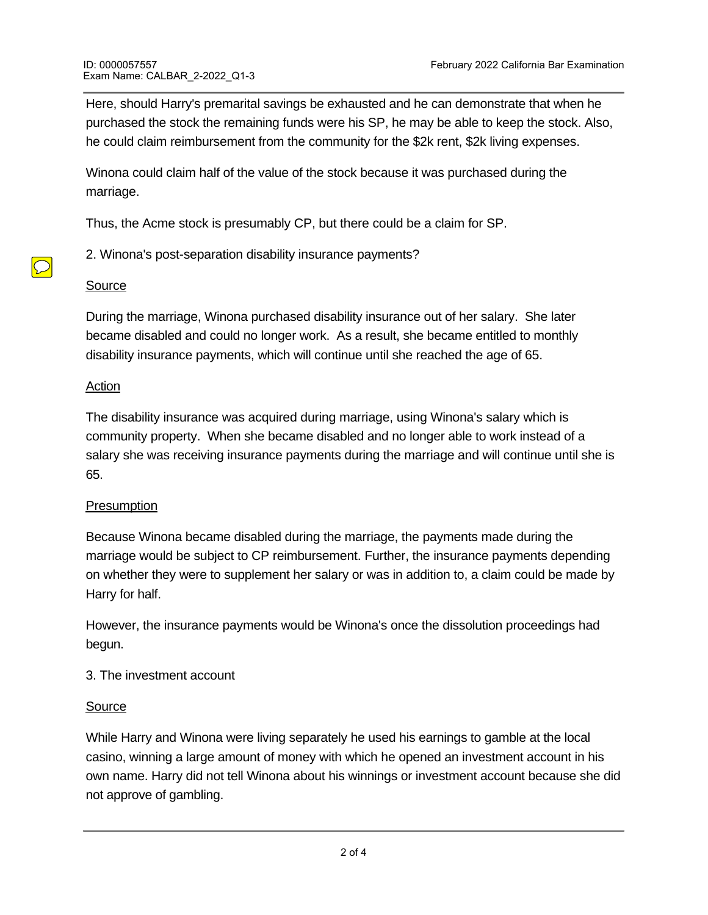Here, should Harry's premarital savings be exhausted and he can demonstrate that when he purchased the stock the remaining funds were his SP, he may be able to keep the stock. Also, he could claim reimbursement from the community for the \$2k rent, \$2k living expenses.

Winona could claim half of the value of the stock because it was purchased during the marriage.

Thus, the Acme stock is presumably CP, but there could be a claim for SP.

2. Winona's post-separation disability insurance payments?

#### Source

During the marriage, Winona purchased disability insurance out of her salary. She later became disabled and could no longer work. As a result, she became entitled to monthly disability insurance payments, which will continue until she reached the age of 65.

#### Action

The disability insurance was acquired during marriage, using Winona's salary which is community property. When she became disabled and no longer able to work instead of a salary she was receiving insurance payments during the marriage and will continue until she is 65.

## **Presumption**

Because Winona became disabled during the marriage, the payments made during the marriage would be subject to CP reimbursement. Further, the insurance payments depending on whether they were to supplement her salary or was in addition to, a claim could be made by Harry for half.

However, the insurance payments would be Winona's once the dissolution proceedings had begun.

## 3. The investment account

## Source

Action

While Harry and Winona were living separately he used his earnings to gamble at the local casino, winning a large amount of money with which he opened an investment account in his own name. Harry did not tell Winona about his winnings or investment account because she did not approve of gambling.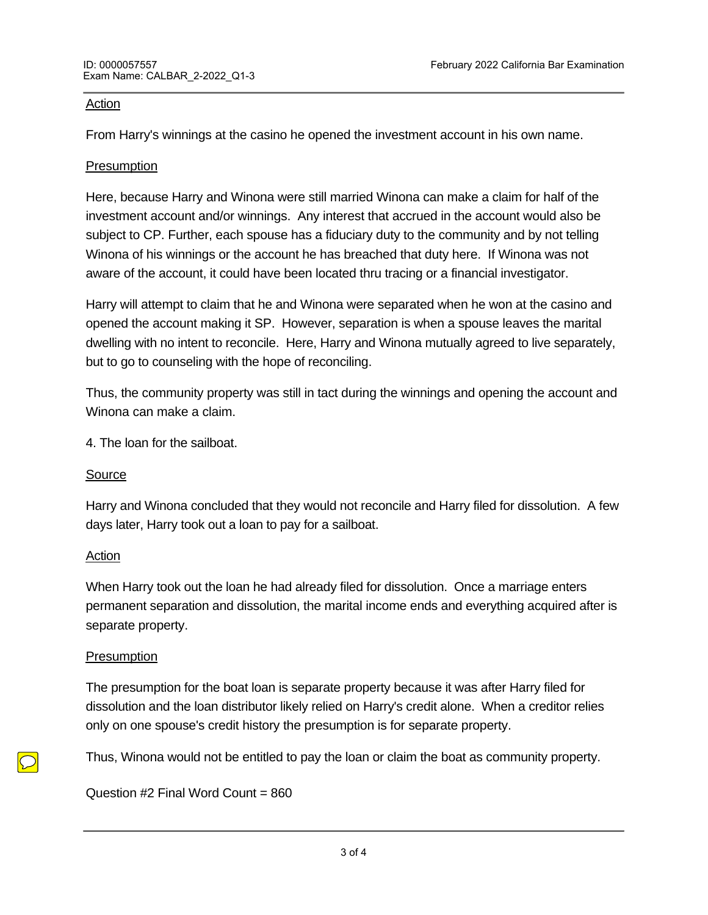#### Action

From Harry's winnings at the casino he opened the investment account in his own name.

## **Presumption**

Here, because Harry and Winona were still married Winona can make a claim for half of the investment account and/or winnings. Any interest that accrued in the account would also be subject to CP. Further, each spouse has a fiduciary duty to the community and by not telling Winona of his winnings or the account he has breached that duty here. If Winona was not aware of the account, it could have been located thru tracing or a financial investigator.

Harry will attempt to claim that he and Winona were separated when he won at the casino and opened the account making it SP. However, separation is when a spouse leaves the marital dwelling with no intent to reconcile. Here, Harry and Winona mutually agreed to live separately, but to go to counseling with the hope of reconciling.

Thus, the community property was still in tact during the winnings and opening the account and Winona can make a claim.

4. The loan for the sailboat.

## Source

Harry and Winona concluded that they would not reconcile and Harry filed for dissolution. A few days later, Harry took out a loan to pay for a sailboat.

## Action

When Harry took out the loan he had already filed for dissolution. Once a marriage enters permanent separation and dissolution, the marital income ends and everything acquired after is separate property.

## **Presumption**

**END OF EXAMPLE 200** 

The presumption for the boat loan is separate property because it was after Harry filed for dissolution and the loan distributor likely relied on Harry's credit alone. When a creditor relies only on one spouse's credit history the presumption is for separate property.

Thus, Winona would not be entitled to pay the loan or claim the boat as community property.

Question #2 Final Word Count = 860